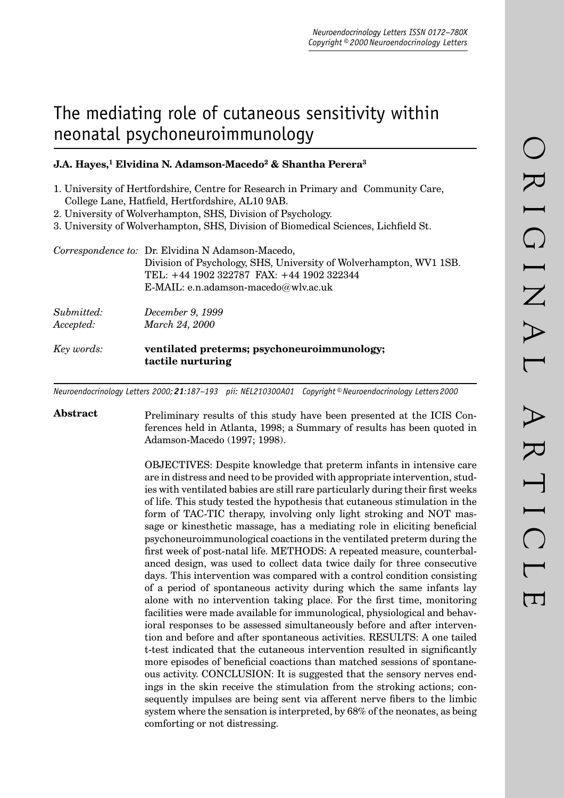# The mediating role of cutaneous sensitivity within neonatal psychoneuroimmunology

## **J.A. Hayes,<sup>1</sup> Elvidina N. Adamson-Macedo<sup>2</sup> & Shantha Perera<sup>3</sup>**

- 1. University of Hertfordshire, Centre for Research in Primary and Community Care, College Lane, Hatfield, Hertfordshire, AL10 9AB.
- 2. University of Wolverhampton, SHS, Division of Psychology.
- 3. University of Wolverhampton, SHS, Division of Biomedical Sciences, Lichfield St.

|                         | Correspondence to: Dr. Elvidina N Adamson-Macedo,<br>Division of Psychology, SHS, University of Wolverhampton, WV1 1SB.<br>TEL: +44 1902 322787 FAX: +44 1902 322344<br>E-MAIL: e.n.adamson-macedo@wlv.ac.uk |
|-------------------------|--------------------------------------------------------------------------------------------------------------------------------------------------------------------------------------------------------------|
| Submitted:<br>Accepted: | December 9, 1999<br>March 24, 2000                                                                                                                                                                           |
| Key words:              | ventilated preterms; psychoneuroimmunology;<br>tactile nurturing                                                                                                                                             |

*Neuroendocrinology Letters 2000; 21:187–193 pii: NEL210300A01 Copyright © Neuroendocrinology Letters 2000*

Abstract Preliminary results of this study have been presented at the ICIS Conferences held in Atlanta, 1998; a Summary of results has been quoted in Adamson-Macedo (1997; 1998).

> OBJECTIVES: Despite knowledge that preterm infants in intensive care are in distress and need to be provided with appropriate intervention, studies with ventilated babies are still rare particularly during their first weeks of life. This study tested the hypothesis that cutaneous stimulation in the form of TAC-TIC therapy, involving only light stroking and NOT massage or kinesthetic massage, has a mediating role in eliciting beneficial psychoneuroimmunological coactions in the ventilated preterm during the first week of post-natal life. METHODS: A repeated measure, counterbalanced design, was used to collect data twice daily for three consecutive days. This intervention was compared with a control condition consisting of a period of spontaneous activity during which the same infants lay alone with no intervention taking place. For the first time, monitoring facilities were made available for immunological, physiological and behavioral responses to be assessed simultaneously before and after intervention and before and after spontaneous activities. RESULTS: A one tailed t-test indicated that the cutaneous intervention resulted in significantly more episodes of beneficial coactions than matched sessions of spontaneous activity. CONCLUSION: It is suggested that the sensory nerves endings in the skin receive the stimulation from the stroking actions; consequently impulses are being sent via afferent nerve fibers to the limbic system where the sensation is interpreted, by 68% of the neonates, as being comforting or not distressing.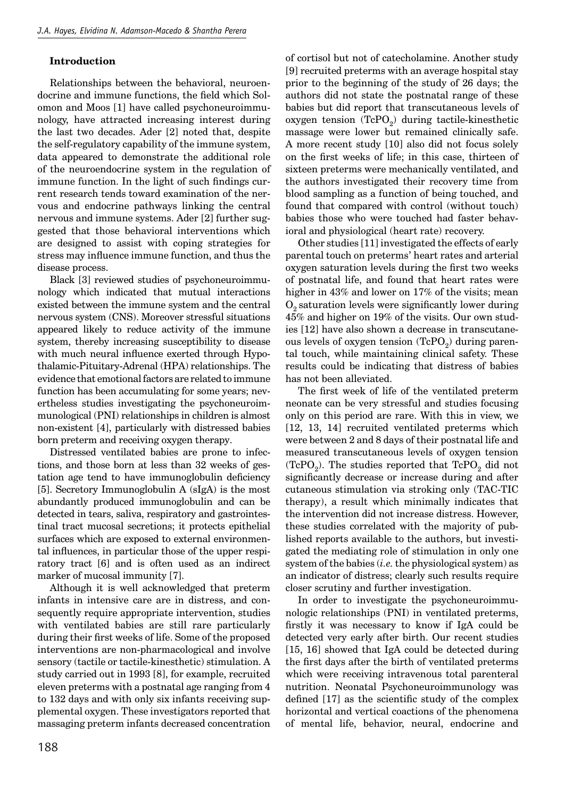#### **Introduction**

Relationships between the behavioral, neuroendocrine and immune functions, the field which Solomon and Moos [1] have called psychoneuroimmunology, have attracted increasing interest during the last two decades. Ader [2] noted that, despite the self-regulatory capability of the immune system, data appeared to demonstrate the additional role of the neuroendocrine system in the regulation of immune function. In the light of such findings current research tends toward examination of the nervous and endocrine pathways linking the central nervous and immune systems. Ader [2] further suggested that those behavioral interventions which are designed to assist with coping strategies for stress may influence immune function, and thus the disease process.

Black [3] reviewed studies of psychoneuroimmunology which indicated that mutual interactions existed between the immune system and the central nervous system (CNS). Moreover stressful situations appeared likely to reduce activity of the immune system, thereby increasing susceptibility to disease with much neural influence exerted through Hypothalamic-Pituitary-Adrenal (HPA) relationships. The evidence that emotional factors are related to immune function has been accumulating for some years; nevertheless studies investigating the psychoneuroimmunological (PNI) relationships in children is almost non-existent [4], particularly with distressed babies born preterm and receiving oxygen therapy.

Distressed ventilated babies are prone to infections, and those born at less than 32 weeks of gestation age tend to have immunoglobulin deficiency [5]. Secretory Immunoglobulin A (sIgA) is the most abundantly produced immunoglobulin and can be detected in tears, saliva, respiratory and gastrointestinal tract mucosal secretions; it protects epithelial surfaces which are exposed to external environmental influences, in particular those of the upper respiratory tract [6] and is often used as an indirect marker of mucosal immunity [7].

Although it is well acknowledged that preterm infants in intensive care are in distress, and consequently require appropriate intervention, studies with ventilated babies are still rare particularly during their first weeks of life. Some of the proposed interventions are non-pharmacological and involve sensory (tactile or tactile-kinesthetic) stimulation. A study carried out in 1993 [8], for example, recruited eleven preterms with a postnatal age ranging from 4 to 132 days and with only six infants receiving supplemental oxygen. These investigators reported that massaging preterm infants decreased concentration of cortisol but not of catecholamine. Another study [9] recruited preterms with an average hospital stay prior to the beginning of the study of 26 days; the authors did not state the postnatal range of these babies but did report that transcutaneous levels of oxygen tension  $(TcPO<sub>2</sub>)$  during tactile-kinesthetic massage were lower but remained clinically safe. A more recent study [10] also did not focus solely on the first weeks of life; in this case, thirteen of sixteen preterms were mechanically ventilated, and the authors investigated their recovery time from blood sampling as a function of being touched, and found that compared with control (without touch) babies those who were touched had faster behavioral and physiological (heart rate) recovery.

Other studies [11] investigated the effects of early parental touch on preterms' heart rates and arterial oxygen saturation levels during the first two weeks of postnatal life, and found that heart rates were higher in 43% and lower on 17% of the visits; mean  $O<sub>2</sub>$  saturation levels were significantly lower during 45% and higher on 19% of the visits. Our own studies [12] have also shown a decrease in transcutaneous levels of oxygen tension  $(TcPO<sub>2</sub>)$  during parental touch, while maintaining clinical safety. These results could be indicating that distress of babies has not been alleviated.

The first week of life of the ventilated preterm neonate can be very stressful and studies focusing only on this period are rare. With this in view, we [12, 13, 14] recruited ventilated preterms which were between 2 and 8 days of their postnatal life and measured transcutaneous levels of oxygen tension (TcPO<sub>2</sub>). The studies reported that  $TePO<sub>2</sub>$  did not significantly decrease or increase during and after cutaneous stimulation via stroking only (TAC-TIC therapy), a result which minimally indicates that the intervention did not increase distress. However, these studies correlated with the majority of published reports available to the authors, but investigated the mediating role of stimulation in only one system of the babies (*i.e.* the physiological system) as an indicator of distress; clearly such results require closer scrutiny and further investigation.

In order to investigate the psychoneuroimmunologic relationships (PNI) in ventilated preterms, firstly it was necessary to know if IgA could be detected very early after birth. Our recent studies [15, 16] showed that IgA could be detected during the first days after the birth of ventilated preterms which were receiving intravenous total parenteral nutrition. Neonatal Psychoneuroimmunology was defined  $[17]$  as the scientific study of the complex horizontal and vertical coactions of the phenomena of mental life, behavior, neural, endocrine and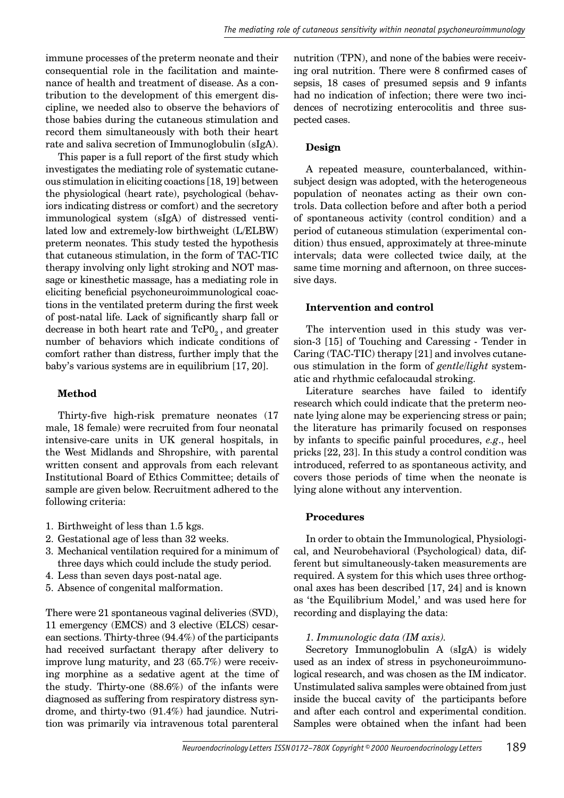immune processes of the preterm neonate and their consequential role in the facilitation and maintenance of health and treatment of disease. As a contribution to the development of this emergent discipline, we needed also to observe the behaviors of those babies during the cutaneous stimulation and record them simultaneously with both their heart rate and saliva secretion of Immunoglobulin (sIgA).

This paper is a full report of the first study which investigates the mediating role of systematic cutaneous stimulation in eliciting coactions [18, 19] between the physiological (heart rate), psychological (behaviors indicating distress or comfort) and the secretory immunological system (sIgA) of distressed ventilated low and extremely-low birthweight (L/ELBW) preterm neonates. This study tested the hypothesis that cutaneous stimulation, in the form of TAC-TIC therapy involving only light stroking and NOT massage or kinesthetic massage, has a mediating role in eliciting beneficial psychoneuroimmunological coactions in the ventilated preterm during the first week of post-natal life. Lack of significantly sharp fall or decrease in both heart rate and  $TeP0<sub>2</sub>$ , and greater number of behaviors which indicate conditions of comfort rather than distress, further imply that the baby's various systems are in equilibrium [17, 20].

#### **Method**

Thirty-five high-risk premature neonates (17 male, 18 female) were recruited from four neonatal intensive-care units in UK general hospitals, in the West Midlands and Shropshire, with parental written consent and approvals from each relevant Institutional Board of Ethics Committee; details of sample are given below. Recruitment adhered to the following criteria:

- 1. Birthweight of less than 1.5 kgs.
- 2. Gestational age of less than 32 weeks.
- 3. Mechanical ventilation required for a minimum of three days which could include the study period.
- 4. Less than seven days post-natal age.
- 5. Absence of congenital malformation.

There were 21 spontaneous vaginal deliveries (SVD), 11 emergency (EMCS) and 3 elective (ELCS) cesarean sections. Thirty-three (94.4%) of the participants had received surfactant therapy after delivery to improve lung maturity, and 23 (65.7%) were receiving morphine as a sedative agent at the time of the study. Thirty-one (88.6%) of the infants were diagnosed as suffering from respiratory distress syndrome, and thirty-two (91.4%) had jaundice. Nutrition was primarily via intravenous total parenteral

nutrition (TPN), and none of the babies were receiving oral nutrition. There were 8 confirmed cases of sepsis, 18 cases of presumed sepsis and 9 infants had no indication of infection; there were two incidences of necrotizing enterocolitis and three suspected cases.

#### **Design**

A repeated measure, counterbalanced, withinsubject design was adopted, with the heterogeneous population of neonates acting as their own controls. Data collection before and after both a period of spontaneous activity (control condition) and a period of cutaneous stimulation (experimental condition) thus ensued, approximately at three-minute intervals; data were collected twice daily, at the same time morning and afternoon, on three successive days.

#### **Intervention and control**

The intervention used in this study was version-3 [15] of Touching and Caressing - Tender in Caring (TAC-TIC) therapy [21] and involves cutaneous stimulation in the form of *gentle/light* systematic and rhythmic cefalocaudal stroking.

Literature searches have failed to identify research which could indicate that the preterm neonate lying alone may be experiencing stress or pain; the literature has primarily focused on responses by infants to specific painful procedures, *e.g.*, heel pricks [22, 23]. In this study a control condition was introduced, referred to as spontaneous activity, and covers those periods of time when the neonate is lying alone without any intervention.

#### **Procedures**

In order to obtain the Immunological, Physiological, and Neurobehavioral (Psychological) data, different but simultaneously-taken measurements are required. A system for this which uses three orthogonal axes has been described [17, 24] and is known as 'the Equilibrium Model,' and was used here for recording and displaying the data:

#### *1. Immunologic data (IM axis).*

Secretory Immunoglobulin A (sIgA) is widely used as an index of stress in psychoneuroimmunological research, and was chosen as the IM indicator. Unstimulated saliva samples were obtained from just inside the buccal cavity of the participants before and after each control and experimental condition. Samples were obtained when the infant had been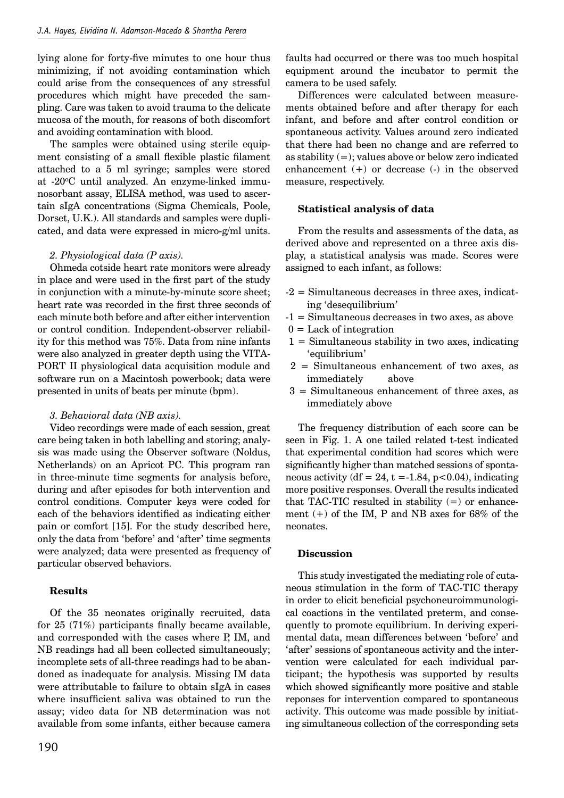lying alone for forty-five minutes to one hour thus minimizing, if not avoiding contamination which could arise from the consequences of any stressful procedures which might have preceded the sampling. Care was taken to avoid trauma to the delicate mucosa of the mouth, for reasons of both discomfort and avoiding contamination with blood.

The samples were obtained using sterile equipment consisting of a small flexible plastic filament attached to a 5 ml syringe; samples were stored at -20oC until analyzed. An enzyme-linked immunosorbant assay, ELISA method, was used to ascertain sIgA concentrations (Sigma Chemicals, Poole, Dorset, U.K.). All standards and samples were duplicated, and data were expressed in micro-g/ml units.

#### *2. Physiological data (P axis).*

Ohmeda cotside heart rate monitors were already in place and were used in the first part of the study in conjunction with a minute-by-minute score sheet; heart rate was recorded in the first three seconds of each minute both before and after either intervention or control condition. Independent-observer reliability for this method was 75%. Data from nine infants were also analyzed in greater depth using the VITA-PORT II physiological data acquisition module and software run on a Macintosh powerbook; data were presented in units of beats per minute (bpm).

#### *3. Behavioral data (NB axis).*

Video recordings were made of each session, great care being taken in both labelling and storing; analysis was made using the Observer software (Noldus, Netherlands) on an Apricot PC. This program ran in three-minute time segments for analysis before, during and after episodes for both intervention and control conditions. Computer keys were coded for each of the behaviors identified as indicating either pain or comfort [15]. For the study described here, only the data from 'before' and 'after' time segments were analyzed; data were presented as frequency of particular observed behaviors.

#### **Results**

Of the 35 neonates originally recruited, data for  $25(71\%)$  participants finally became available, and corresponded with the cases where P, IM, and NB readings had all been collected simultaneously; incomplete sets of all-three readings had to be abandoned as inadequate for analysis. Missing IM data were attributable to failure to obtain sIgA in cases where insufficient saliva was obtained to run the assay; video data for NB determination was not available from some infants, either because camera faults had occurred or there was too much hospital equipment around the incubator to permit the camera to be used safely.

Differences were calculated between measurements obtained before and after therapy for each infant, and before and after control condition or spontaneous activity. Values around zero indicated that there had been no change and are referred to as stability (=); values above or below zero indicated enhancement (+) or decrease (-) in the observed measure, respectively.

#### **Statistical analysis of data**

From the results and assessments of the data, as derived above and represented on a three axis display, a statistical analysis was made. Scores were assigned to each infant, as follows:

- -2 = Simultaneous decreases in three axes, indicating 'desequilibrium'
- -1 = Simultaneous decreases in two axes, as above
- $0 =$  Lack of integration
- $1 =$  Simultaneous stability in two axes, indicating 'equilibrium'
- 2 = Simultaneous enhancement of two axes, as immediately above
- 3 = Simultaneous enhancement of three axes, as immediately above

The frequency distribution of each score can be seen in Fig. 1. A one tailed related t-test indicated that experimental condition had scores which were significantly higher than matched sessions of spontaneous activity (df = 24, t = -1.84,  $p < 0.04$ ), indicating more positive responses. Overall the results indicated that TAC-TIC resulted in stability  $(=)$  or enhancement  $(+)$  of the IM, P and NB axes for 68% of the neonates.

#### **Discussion**

This study investigated the mediating role of cutaneous stimulation in the form of TAC-TIC therapy in order to elicit beneficial psychoneuroimmunological coactions in the ventilated preterm, and consequently to promote equilibrium. In deriving experimental data, mean differences between 'before' and 'after' sessions of spontaneous activity and the intervention were calculated for each individual participant; the hypothesis was supported by results which showed significantly more positive and stable reponses for intervention compared to spontaneous activity. This outcome was made possible by initiating simultaneous collection of the corresponding sets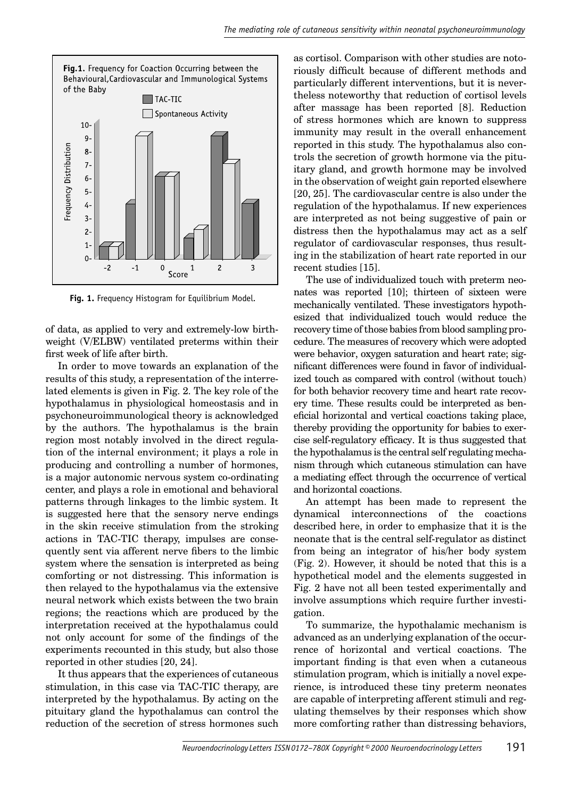

**Fig. 1.** Frequency Histogram for Equilibrium Model.

of data, as applied to very and extremely-low birthweight (V/ELBW) ventilated preterms within their first week of life after birth.

In order to move towards an explanation of the results of this study, a representation of the interrelated elements is given in Fig. 2. The key role of the hypothalamus in physiological homeostasis and in psychoneuroimmunological theory is acknowledged by the authors. The hypothalamus is the brain region most notably involved in the direct regulation of the internal environment; it plays a role in producing and controlling a number of hormones, is a major autonomic nervous system co-ordinating center, and plays a role in emotional and behavioral patterns through linkages to the limbic system. It is suggested here that the sensory nerve endings in the skin receive stimulation from the stroking actions in TAC-TIC therapy, impulses are consequently sent via afferent nerve fibers to the limbic system where the sensation is interpreted as being comforting or not distressing. This information is then relayed to the hypothalamus via the extensive neural network which exists between the two brain regions; the reactions which are produced by the interpretation received at the hypothalamus could not only account for some of the findings of the experiments recounted in this study, but also those reported in other studies [20, 24].

It thus appears that the experiences of cutaneous stimulation, in this case via TAC-TIC therapy, are interpreted by the hypothalamus. By acting on the pituitary gland the hypothalamus can control the reduction of the secretion of stress hormones such as cortisol. Comparison with other studies are notoriously difficult because of different methods and particularly different interventions, but it is nevertheless noteworthy that reduction of cortisol levels after massage has been reported [8]. Reduction of stress hormones which are known to suppress immunity may result in the overall enhancement reported in this study. The hypothalamus also controls the secretion of growth hormone via the pituitary gland, and growth hormone may be involved in the observation of weight gain reported elsewhere [20, 25]. The cardiovascular centre is also under the regulation of the hypothalamus. If new experiences are interpreted as not being suggestive of pain or distress then the hypothalamus may act as a self regulator of cardiovascular responses, thus resulting in the stabilization of heart rate reported in our recent studies [15].

The use of individualized touch with preterm neonates was reported [10]; thirteen of sixteen were mechanically ventilated. These investigators hypothesized that individualized touch would reduce the recovery time of those babies from blood sampling procedure. The measures of recovery which were adopted were behavior, oxygen saturation and heart rate; significant differences were found in favor of individualized touch as compared with control (without touch) for both behavior recovery time and heart rate recovery time. These results could be interpreted as beneficial horizontal and vertical coactions taking place, thereby providing the opportunity for babies to exercise self-regulatory efficacy. It is thus suggested that the hypothalamus is the central self regulating mechanism through which cutaneous stimulation can have a mediating effect through the occurrence of vertical and horizontal coactions.

An attempt has been made to represent the dynamical interconnections of the coactions described here, in order to emphasize that it is the neonate that is the central self-regulator as distinct from being an integrator of his/her body system (Fig. 2). However, it should be noted that this is a hypothetical model and the elements suggested in Fig. 2 have not all been tested experimentally and involve assumptions which require further investigation.

To summarize, the hypothalamic mechanism is advanced as an underlying explanation of the occurrence of horizontal and vertical coactions. The important finding is that even when a cutaneous stimulation program, which is initially a novel experience, is introduced these tiny preterm neonates are capable of interpreting afferent stimuli and regulating themselves by their responses which show more comforting rather than distressing behaviors,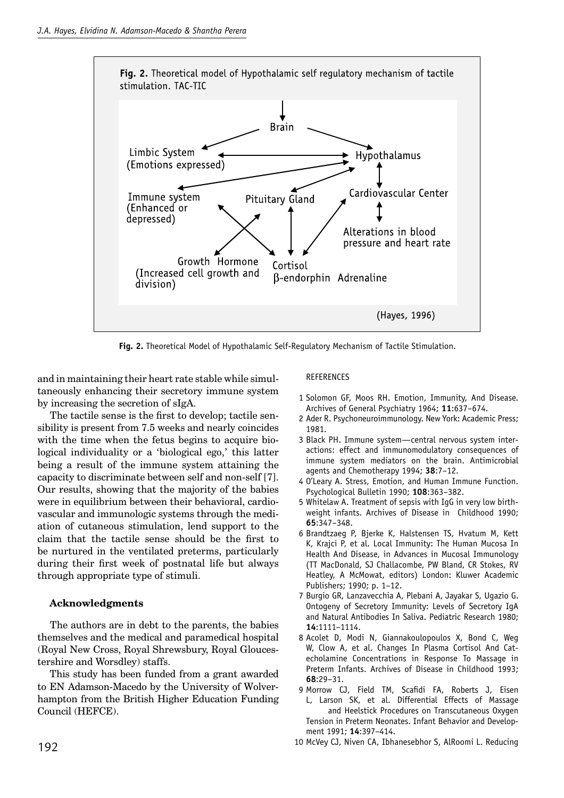

**Fig. 2.** Theoretical Model of Hypothalamic Self-Regulatory Mechanism of Tactile Stimulation.

and in maintaining their heart rate stable while simultaneously enhancing their secretory immune system by increasing the secretion of sIgA.

The tactile sense is the first to develop; tactile sensibility is present from 7.5 weeks and nearly coincides with the time when the fetus begins to acquire biological individuality or a 'biological ego,' this latter being a result of the immune system attaining the capacity to discriminate between self and non-self [7]. Our results, showing that the majority of the babies were in equilibrium between their behavioral, cardiovascular and immunologic systems through the mediation of cutaneous stimulation, lend support to the claim that the tactile sense should be the first to be nurtured in the ventilated preterms, particularly during their first week of postnatal life but always through appropriate type of stimuli.

### **Acknowledgments**

The authors are in debt to the parents, the babies themselves and the medical and paramedical hospital (Royal New Cross, Royal Shrewsbury, Royal Gloucestershire and Worsdley) staffs.

This study has been funded from a grant awarded to EN Adamson-Macedo by the University of Wolverhampton from the British Higher Education Funding Council (HEFCE).

#### REFERENCES

- 1 Solomon GF, Moos RH. Emotion, Immunity, And Disease. Archives of General Psychiatry 1964; **11**:637–674.
- 2 Ader R. Psychoneuroimmunology. New York: Academic Press; 1981.
- 3 Black PH. Immune system—central nervous system interactions: effect and immunomodulatory consequences of immune system mediators on the brain. Antimicrobial agents and Chemotherapy 1994; **38**:7–12.
- 4O'Leary A. Stress, Emotion, and Human Immune Function. Psychological Bulletin 1990; **108**:363–382.
- 5 Whitelaw A. Treatment of sepsis with IgG in very low birthweight infants. Archives of Disease in Childhood 1990; **65**:347–348.
- 6 Brandtzaeg P, Bjerke K, Halstensen TS, Hvatum M, Kett K, Krajci P, et al. Local Immunity: The Human Mucosa In Health And Disease, in Advances in Mucosal Immunology (TT MacDonald, SJ Challacombe, PW Bland, CR Stokes, RV Heatley, A McMowat, editors) London: Kluwer Academic Publishers; 1990; p. 1–12.
- 7 Burgio GR, Lanzavecchia A, Plebani A, Jayakar S, Ugazio G. Ontogeny of Secretory Immunity: Levels of Secretory IgA and Natural Antibodies In Saliva. Pediatric Research 1980; **14**:1111–1114.
- 8 Acolet D, Modi N, Giannakoulopoulos X, Bond C, Weg W, Clow A, et al. Changes In Plasma Cortisol And Catecholamine Concentrations in Response To Massage in Preterm Infants. Archives of Disease in Childhood 1993; **68**:29–31.
- 9 Morrow CJ, Field TM, Scafidi FA, Roberts J, Eisen L, Larson SK, et al. Differential Effects of Massage and Heelstick Procedures on Transcutaneous Oxygen Tension in Preterm Neonates. Infant Behavior and Development 1991; **14**:397–414.
- 10 McVey CJ, Niven CA, Ibhanesebhor S, AlRoomi L. Reducing